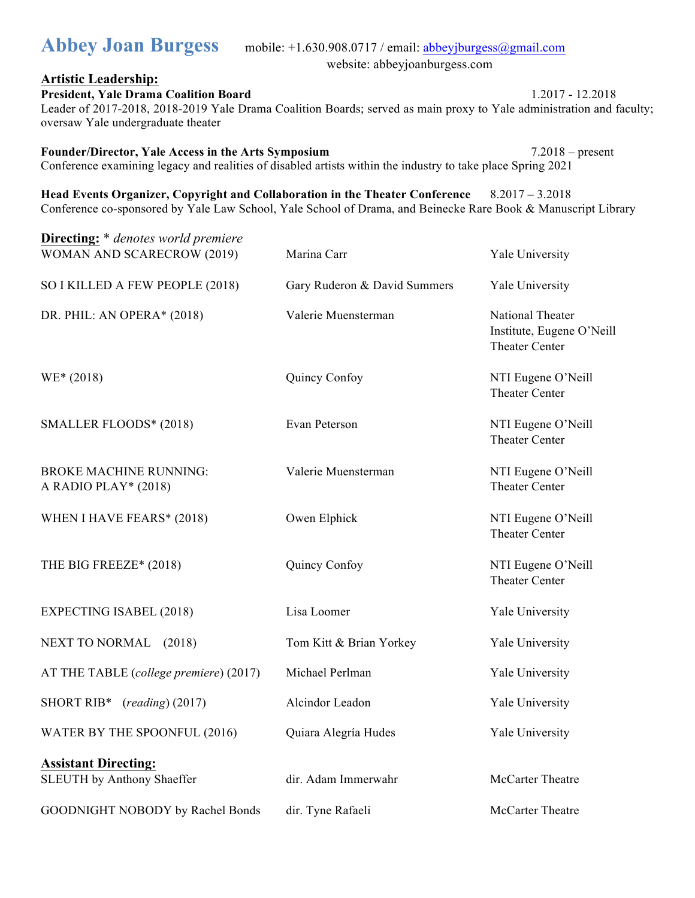#### **Artistic Leadership:**

**President, Yale Drama Coalition Board** 1.2017 - 12.2018 Leader of 2017-2018, 2018-2019 Yale Drama Coalition Boards; served as main proxy to Yale administration and faculty; oversaw Yale undergraduate theater

**Founder/Director, Yale Access in the Arts Symposium** 7.2018 – present Conference examining legacy and realities of disabled artists within the industry to take place Spring 2021

**Head Events Organizer, Copyright and Collaboration in the Theater Conference** 8.2017 – 3.2018 Conference co-sponsored by Yale Law School, Yale School of Drama, and Beinecke Rare Book & Manuscript Library

| <b>Directing:</b> * denotes world premiere<br>WOMAN AND SCARECROW (2019) | Marina Carr                  | Yale University                                                        |
|--------------------------------------------------------------------------|------------------------------|------------------------------------------------------------------------|
| SO I KILLED A FEW PEOPLE (2018)                                          | Gary Ruderon & David Summers | Yale University                                                        |
| DR. PHIL: AN OPERA* (2018)                                               | Valerie Muensterman          | National Theater<br>Institute, Eugene O'Neill<br><b>Theater Center</b> |
| $WE* (2018)$                                                             | Quincy Confoy                | NTI Eugene O'Neill<br><b>Theater Center</b>                            |
| SMALLER FLOODS* (2018)                                                   | Evan Peterson                | NTI Eugene O'Neill<br><b>Theater Center</b>                            |
| <b>BROKE MACHINE RUNNING:</b><br>A RADIO PLAY* (2018)                    | Valerie Muensterman          | NTI Eugene O'Neill<br><b>Theater Center</b>                            |
| WHEN I HAVE FEARS* (2018)                                                | Owen Elphick                 | NTI Eugene O'Neill<br><b>Theater Center</b>                            |
| THE BIG FREEZE* (2018)                                                   | Quincy Confoy                | NTI Eugene O'Neill<br><b>Theater Center</b>                            |
| <b>EXPECTING ISABEL (2018)</b>                                           | Lisa Loomer                  | Yale University                                                        |
| NEXT TO NORMAL (2018)                                                    | Tom Kitt & Brian Yorkey      | Yale University                                                        |
| AT THE TABLE (college premiere) (2017)                                   | Michael Perlman              | Yale University                                                        |
| SHORT RIB* (reading) (2017)                                              | Alcindor Leadon              | Yale University                                                        |
| WATER BY THE SPOONFUL (2016)                                             | Quiara Alegría Hudes         | Yale University                                                        |
| <b>Assistant Directing:</b><br><b>SLEUTH</b> by Anthony Shaeffer         | dir. Adam Immerwahr          | McCarter Theatre                                                       |
| GOODNIGHT NOBODY by Rachel Bonds                                         | dir. Tyne Rafaeli            | McCarter Theatre                                                       |